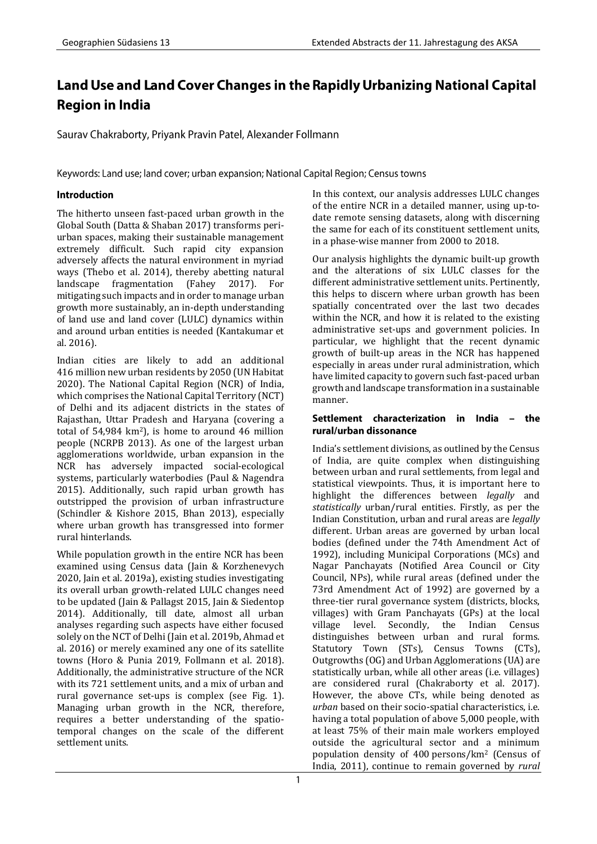# Land Use and Land Cover Changes in the Rapidly Urbanizing National Capital **Region in India**

Saurav Chakraborty, Priyank Pravin Patel, Alexander Follmann

Keywords: Land use; land cover; urban expansion; National Capital Region; Census towns

# **Introduction**

The hitherto unseen fast-paced urban growth in the Global South (Datta & Shaban 2017) transforms periurban spaces, making their sustainable management extremely difficult. Such rapid city expansion adversely affects the natural environment in myriad ways (Thebo et al. 2014), thereby abetting natural landscape fragmentation (Fahey 2017). For mitigating such impacts and in order to manage urban growth more sustainably, an in-depth understanding of land use and land cover (LULC) dynamics within and around urban entities is needed (Kantakumar et al. 2016).

Indian cities are likely to add an additional 416 million new urban residents by 2050 (UN Habitat 2020). The National Capital Region (NCR) of India, which comprises the National Capital Territory (NCT) of Delhi and its adjacent districts in the states of Rajasthan, Uttar Pradesh and Haryana (covering a total of  $54,984 \text{ km}^2$ ), is home to around 46 million people (NCRPB 2013). As one of the largest urban agglomerations worldwide, urban expansion in the NCR has adversely impacted social-ecological systems, particularly waterbodies (Paul & Nagendra 2015). Additionally, such rapid urban growth has outstripped the provision of urban infrastructure (Schindler & Kishore 2015, Bhan 2013), especially where urban growth has transgressed into former rural hinterlands.

While population growth in the entire NCR has been examined using Census data (Jain & Korzhenevych 2020, Jain et al. 2019a), existing studies investigating its overall urban growth-related LULC changes need to be updated (Jain & Pallagst 2015, Jain & Siedentop 2014). Additionally, till date, almost all urban analyses regarding such aspects have either focused solely on the NCT of Delhi (Jain et al. 2019b, Ahmad et al. 2016) or merely examined any one of its satellite towns (Horo & Punia 2019, Follmann et al. 2018). Additionally, the administrative structure of the NCR with its 721 settlement units, and a mix of urban and rural governance set-ups is complex (see Fig. 1). Managing urban growth in the NCR, therefore, requires a better understanding of the spatiotemporal changes on the scale of the different settlement units.

In this context, our analysis addresses LULC changes of the entire NCR in a detailed manner, using up-todate remote sensing datasets, along with discerning the same for each of its constituent settlement units, in a phase-wise manner from 2000 to 2018.

Our analysis highlights the dynamic built-up growth and the alterations of six LULC classes for the different administrative settlement units. Pertinently, this helps to discern where urban growth has been spatially concentrated over the last two decades within the NCR, and how it is related to the existing administrative set-ups and government policies. In particular, we highlight that the recent dynamic growth of built-up areas in the NCR has happened especially in areas under rural administration, which have limited capacity to govern such fast-paced urban growth and landscape transformation in a sustainable manner.

## Settlement characterization in India - the rural/urban dissonance

India's settlement divisions, as outlined by the Census of India, are quite complex when distinguishing between urban and rural settlements, from legal and statistical viewpoints. Thus, it is important here to highlight the differences between *legally* and *statistically* urban/rural entities. Firstly, as per the Indian Constitution, urban and rural areas are *legally* different. Urban areas are governed by urban local bodies (defined under the 74th Amendment Act of 1992), including Municipal Corporations (MCs) and Nagar Panchayats (Notified Area Council or City Council, NPs), while rural areas (defined under the 73rd Amendment Act of 1992) are governed by a three-tier rural governance system (districts, blocks, villages) with Gram Panchayats (GPs) at the local village level. Secondly, the Indian Census distinguishes between urban and rural forms. Statutory Town (STs), Census Towns (CTs), Outgrowths (OG) and Urban Agglomerations (UA) are statistically urban, while all other areas (i.e. villages) are considered rural (Chakraborty et al. 2017). However, the above CTs, while being denoted as *urban* based on their socio-spatial characteristics, i.e. having a total population of above 5,000 people, with at least 75% of their main male workers employed outside the agricultural sector and a minimum population density of 400 persons/km<sup>2</sup> (Census of India, 2011), continue to remain governed by *rural*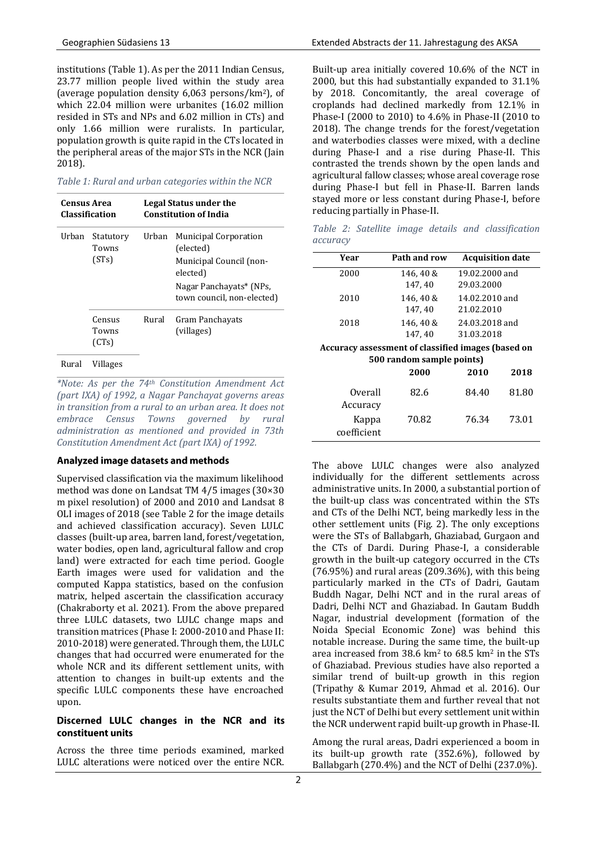institutions (Table 1). As per the 2011 Indian Census, 23.77 million people lived within the study area (average population density 6,063 persons/km2), of which 22.04 million were urbanites (16.02 million resided in STs and NPs and 6.02 million in CTs) and only 1.66 million were ruralists. In particular, population growth is quite rapid in the CTs located in the peripheral areas of the major STs in the NCR (Jain 2018).

*Table 1: Rural and urban categories within the NCR*

| Census Area<br><b>Classification</b> |                             | Legal Status under the<br><b>Constitution of India</b> |                                                                                  |  |
|--------------------------------------|-----------------------------|--------------------------------------------------------|----------------------------------------------------------------------------------|--|
| Urban                                | Statutory<br>Towns<br>(STs) | Urban                                                  | <b>Municipal Corporation</b><br>(elected)<br>Municipal Council (non-<br>elected) |  |
|                                      |                             |                                                        | Nagar Panchayats* (NPs,<br>town council, non-elected)                            |  |
|                                      | Census<br>Towns<br>(CTs)    | Rural                                                  | Gram Panchayats<br>(villages)                                                    |  |
| Rural                                | Villages                    |                                                        |                                                                                  |  |

*\*Note: As per the 74th Constitution Amendment Act (part IXA) of 1992, a Nagar Panchayat governs areas in transition from a rural to an urban area. It does not embrace Census Towns governed by rural administration as mentioned and provided in 73th Constitution Amendment Act (part IXA) of 1992.* 

### Analyzed image datasets and methods

Supervised classification via the maximum likelihood method was done on Landsat TM 4/5 images (30×30 m pixel resolution) of 2000 and 2010 and Landsat 8 OLI images of 2018 (see Table 2 for the image details and achieved classification accuracy). Seven LULC classes (built-up area, barren land, forest/vegetation, water bodies, open land, agricultural fallow and crop land) were extracted for each time period. Google Earth images were used for validation and the computed Kappa statistics, based on the confusion matrix, helped ascertain the classification accuracy (Chakraborty et al. 2021). From the above prepared three LULC datasets, two LULC change maps and transition matrices (Phase I: 2000-2010 and Phase II: 2010-2018) were generated. Through them, the LULC changes that had occurred were enumerated for the whole NCR and its different settlement units, with attention to changes in built-up extents and the specific LULC components these have encroached upon.

## Discerned LULC changes in the NCR and its constituent units

Across the three time periods examined, marked LULC alterations were noticed over the entire NCR.

Built-up area initially covered 10.6% of the NCT in 2000, but this had substantially expanded to 31.1% by 2018. Concomitantly, the areal coverage of croplands had declined markedly from 12.1% in Phase-I (2000 to 2010) to 4.6% in Phase-II (2010 to 2018). The change trends for the forest/vegetation and waterbodies classes were mixed, with a decline during Phase-I and a rise during Phase-II. This contrasted the trends shown by the open lands and agricultural fallow classes; whose areal coverage rose during Phase-I but fell in Phase-II. Barren lands stayed more or less constant during Phase-I, before reducing partially in Phase-II.

*Table 2: Satellite image details and classification accuracy* 

| Year                                                                            | Path and row         | <b>Acquisition date</b>      |  |  |  |  |  |
|---------------------------------------------------------------------------------|----------------------|------------------------------|--|--|--|--|--|
| 2000                                                                            | 146.40 &<br>147, 40  | 19.02.2000 and<br>29.03.2000 |  |  |  |  |  |
| 2010                                                                            | 146, 40 &<br>147, 40 | 14.02.2010 and<br>21.02.2010 |  |  |  |  |  |
| 2018                                                                            | 146, 40 &<br>147, 40 | 24.03.2018 and<br>31.03.2018 |  |  |  |  |  |
| Accuracy assessment of classified images (based on<br>500 random sample points) |                      |                              |  |  |  |  |  |
|                                                                                 | 2000                 | 2010<br>2018                 |  |  |  |  |  |

| Overall                          | 82.6  | 84.40 | 81.80 |
|----------------------------------|-------|-------|-------|
| Accuracy<br>Kappa<br>coefficient | 70.82 | 76.34 | 73.01 |

The above LULC changes were also analyzed individually for the different settlements across administrative units. In 2000, a substantial portion of the built-up class was concentrated within the STs and CTs of the Delhi NCT, being markedly less in the other settlement units (Fig. 2). The only exceptions were the STs of Ballabgarh, Ghaziabad, Gurgaon and the CTs of Dardi. During Phase-I, a considerable growth in the built-up category occurred in the CTs (76.95%) and rural areas (209.36%), with this being particularly marked in the CTs of Dadri, Gautam Buddh Nagar, Delhi NCT and in the rural areas of Dadri, Delhi NCT and Ghaziabad. In Gautam Buddh Nagar, industrial development (formation of the Noida Special Economic Zone) was behind this notable increase. During the same time, the built-up area increased from 38.6 km<sup>2</sup> to 68.5 km<sup>2</sup> in the STs of Ghaziabad. Previous studies have also reported a similar trend of built-up growth in this region (Tripathy & Kumar 2019, Ahmad et al. 2016). Our results substantiate them and further reveal that not just the NCT of Delhi but every settlement unit within the NCR underwent rapid built-up growth in Phase-II.

Among the rural areas, Dadri experienced a boom in its built-up growth rate (352.6%), followed by Ballabgarh (270.4%) and the NCT of Delhi (237.0%).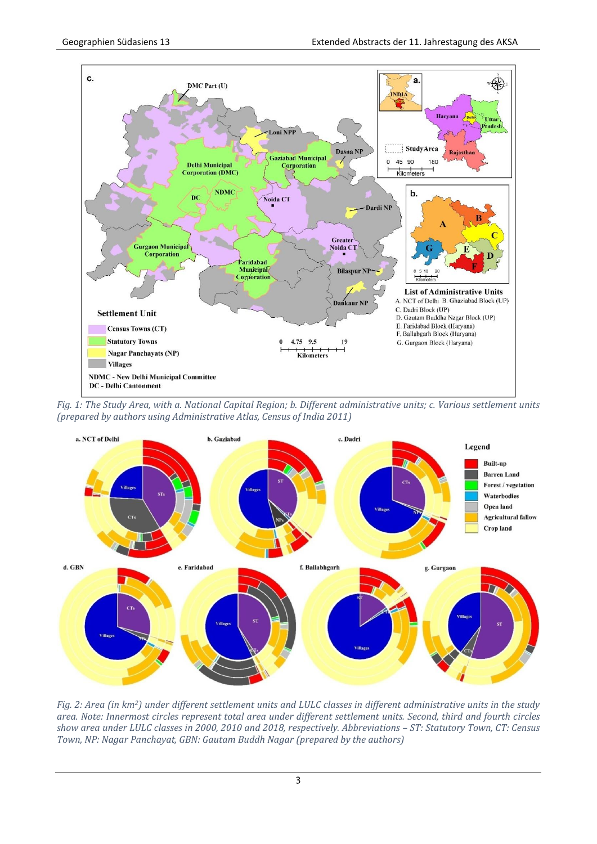

*Fig. 1: The Study Area, with a. National Capital Region; b. Different administrative units; c. Various settlement units (prepared by authors using Administrative Atlas, Census of India 2011)*



*Fig. 2: Area (in km2) under different settlement units and LULC classes in different administrative units in the study area. Note: Innermost circles represent total area under different settlement units. Second, third and fourth circles show area under LULC classes in 2000, 2010 and 2018, respectively. Abbreviations – ST: Statutory Town, CT: Census Town, NP: Nagar Panchayat, GBN: Gautam Buddh Nagar (prepared by the authors)*

 $\overline{3}$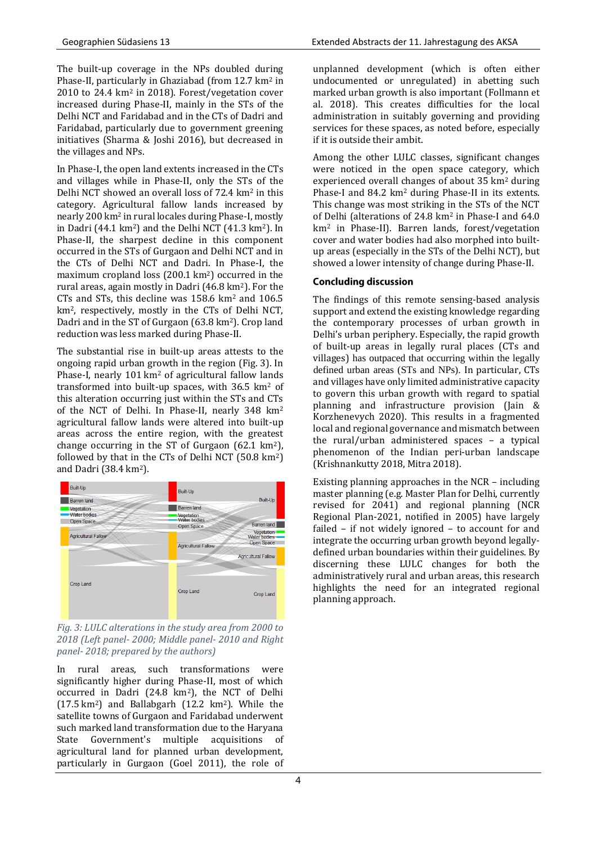The built-up coverage in the NPs doubled during Phase-II, particularly in Ghaziabad (from 12.7 km<sup>2</sup> in 2010 to 24.4 km<sup>2</sup> in 2018). Forest/vegetation cover increased during Phase-II, mainly in the STs of the Delhi NCT and Faridabad and in the CTs of Dadri and Faridabad, particularly due to government greening initiatives (Sharma & Joshi 2016), but decreased in the villages and NPs.

In Phase-I, the open land extents increased in the CTs and villages while in Phase-II, only the STs of the Delhi NCT showed an overall loss of 72.4 km<sup>2</sup> in this category. Agricultural fallow lands increased by nearly 200 km<sup>2</sup> in rural locales during Phase-I, mostly in Dadri (44.1 km2) and the Delhi NCT (41.3 km2). In Phase-II, the sharpest decline in this component occurred in the STs of Gurgaon and Delhi NCT and in the CTs of Delhi NCT and Dadri. In Phase-I, the maximum cropland loss (200.1 km<sup>2</sup>) occurred in the rural areas, again mostly in Dadri (46.8 km2). For the CTs and STs, this decline was 158.6 km<sup>2</sup> and 106.5 km2, respectively, mostly in the CTs of Delhi NCT, Dadri and in the ST of Gurgaon (63.8 km2). Crop land reduction was less marked during Phase-II.

The substantial rise in built-up areas attests to the ongoing rapid urban growth in the region (Fig. 3). In Phase-I, nearly 101 km<sup>2</sup> of agricultural fallow lands transformed into built-up spaces, with  $36.5 \text{ km}^2$  of this alteration occurring just within the STs and CTs of the NCT of Delhi. In Phase-II, nearly 348 km<sup>2</sup> agricultural fallow lands were altered into built-up areas across the entire region, with the greatest change occurring in the ST of Gurgaon (62.1 km2), followed by that in the CTs of Delhi NCT (50.8 km2) and Dadri (38.4 km2).



*Fig. 3: LULC alterations in the study area from 2000 to 2018 (Left panel- 2000; Middle panel- 2010 and Right panel- 2018; prepared by the authors)* 

In rural areas, such transformations were significantly higher during Phase-II, most of which occurred in Dadri (24.8 km2), the NCT of Delhi (17.5 km2) and Ballabgarh (12.2 km2). While the satellite towns of Gurgaon and Faridabad underwent such marked land transformation due to the Haryana State Government's multiple acquisitions of agricultural land for planned urban development, particularly in Gurgaon (Goel 2011), the role of

unplanned development (which is often either undocumented or unregulated) in abetting such marked urban growth is also important (Follmann et al. 2018). This creates difficulties for the local administration in suitably governing and providing services for these spaces, as noted before, especially if it is outside their ambit.

Among the other LULC classes, significant changes were noticed in the open space category, which experienced overall changes of about 35 km<sup>2</sup> during Phase-I and 84.2 km<sup>2</sup> during Phase-II in its extents. This change was most striking in the STs of the NCT of Delhi (alterations of 24.8 km<sup>2</sup> in Phase-I and 64.0 km<sup>2</sup> in Phase-II). Barren lands, forest/vegetation cover and water bodies had also morphed into builtup areas (especially in the STs of the Delhi NCT), but showed a lower intensity of change during Phase-II.

# **Concluding discussion**

The findings of this remote sensing-based analysis support and extend the existing knowledge regarding the contemporary processes of urban growth in Delhi's urban periphery. Especially, the rapid growth of built-up areas in legally rural places (CTs and villages) has outpaced that occurring within the legally defined urban areas (STs and NPs). In particular, CTs and villages have only limited administrative capacity to govern this urban growth with regard to spatial planning and infrastructure provision (Jain & Korzhenevych 2020). This results in a fragmented local and regional governance and mismatch between the rural/urban administered spaces – a typical phenomenon of the Indian peri-urban landscape (Krishnankutty 2018, Mitra 2018).

Existing planning approaches in the NCR – including master planning (e.g. Master Plan for Delhi, currently revised for 2041) and regional planning (NCR Regional Plan-2021, notified in 2005) have largely failed – if not widely ignored – to account for and integrate the occurring urban growth beyond legallydefined urban boundaries within their guidelines. By discerning these LULC changes for both the administratively rural and urban areas, this research highlights the need for an integrated regional planning approach.